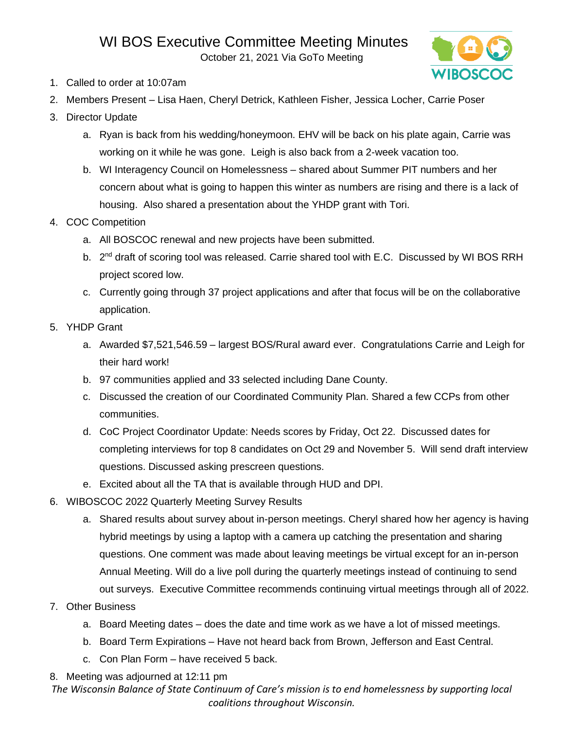October 21, 2021 Via GoTo Meeting



- 1. Called to order at 10:07am
- 2. Members Present Lisa Haen, Cheryl Detrick, Kathleen Fisher, Jessica Locher, Carrie Poser
- 3. Director Update
	- a. Ryan is back from his wedding/honeymoon. EHV will be back on his plate again, Carrie was working on it while he was gone. Leigh is also back from a 2-week vacation too.
	- b. WI Interagency Council on Homelessness shared about Summer PIT numbers and her concern about what is going to happen this winter as numbers are rising and there is a lack of housing. Also shared a presentation about the YHDP grant with Tori.
- 4. COC Competition
	- a. All BOSCOC renewal and new projects have been submitted.
	- b. 2<sup>nd</sup> draft of scoring tool was released. Carrie shared tool with E.C. Discussed by WI BOS RRH project scored low.
	- c. Currently going through 37 project applications and after that focus will be on the collaborative application.
- 5. YHDP Grant
	- a. Awarded \$7,521,546.59 largest BOS/Rural award ever. Congratulations Carrie and Leigh for their hard work!
	- b. 97 communities applied and 33 selected including Dane County.
	- c. Discussed the creation of our Coordinated Community Plan. Shared a few CCPs from other communities.
	- d. CoC Project Coordinator Update: Needs scores by Friday, Oct 22. Discussed dates for completing interviews for top 8 candidates on Oct 29 and November 5. Will send draft interview questions. Discussed asking prescreen questions.
	- e. Excited about all the TA that is available through HUD and DPI.
- 6. WIBOSCOC 2022 Quarterly Meeting Survey Results
	- a. Shared results about survey about in-person meetings. Cheryl shared how her agency is having hybrid meetings by using a laptop with a camera up catching the presentation and sharing questions. One comment was made about leaving meetings be virtual except for an in-person Annual Meeting. Will do a live poll during the quarterly meetings instead of continuing to send out surveys. Executive Committee recommends continuing virtual meetings through all of 2022.
- 7. Other Business
	- a. Board Meeting dates does the date and time work as we have a lot of missed meetings.
	- b. Board Term Expirations Have not heard back from Brown, Jefferson and East Central.
	- c. Con Plan Form have received 5 back.
- 8. Meeting was adjourned at 12:11 pm

*The Wisconsin Balance of State Continuum of Care's mission is to end homelessness by supporting local coalitions throughout Wisconsin.*